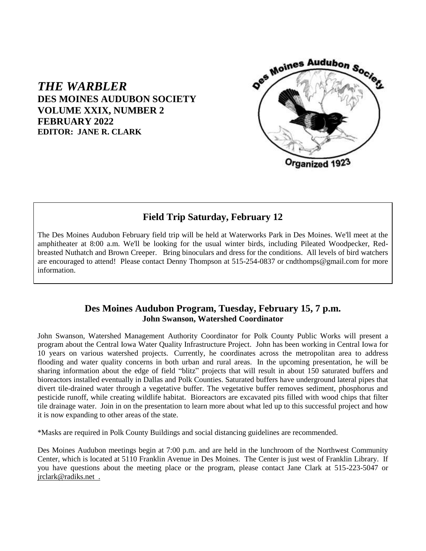

## *THE WARBLER* **DES MOINES AUDUBON SOCIETY VOLUME XXIX, NUMBER 2 FEBRUARY 2022 EDITOR: JANE R. CLARK**

# **Field Trip Saturday, February 12**

The Des Moines Audubon February field trip will be held at Waterworks Park in Des Moines. We'll meet at the amphitheater at 8:00 a.m. We'll be looking for the usual winter birds, including Pileated Woodpecker, Redbreasted Nuthatch and Brown Creeper. Bring binoculars and dress for the conditions. All levels of bird watchers are encouraged to attend! Please contact Denny Thompson at 515-254-0837 or cndthomps@gmail.com for more information.

### **Des Moines Audubon Program, Tuesday, February 15, 7 p.m. John Swanson, Watershed Coordinator**

John Swanson, Watershed Management Authority Coordinator for Polk County Public Works will present a program about the Central Iowa Water Quality Infrastructure Project. John has been working in Central Iowa for 10 years on various watershed projects. Currently, he coordinates across the metropolitan area to address flooding and water quality concerns in both urban and rural areas. In the upcoming presentation, he will be sharing information about the edge of field "blitz" projects that will result in about 150 saturated buffers and bioreactors installed eventually in Dallas and Polk Counties. Saturated buffers have underground lateral pipes that divert tile-drained water through a vegetative buffer. The vegetative buffer removes sediment, phosphorus and pesticide runoff, while creating wildlife habitat. Bioreactors are excavated pits filled with wood chips that filter tile drainage water. Join in on the presentation to learn more about what led up to this successful project and how it is now expanding to other areas of the state.

\*Masks are required in Polk County Buildings and social distancing guidelines are recommended.

Des Moines Audubon meetings begin at 7:00 p.m. and are held in the lunchroom of the Northwest Community Center, which is located at 5110 Franklin Avenue in Des Moines. The Center is just west of Franklin Library. If you have questions about the meeting place or the program, please contact Jane Clark at 515-223-5047 or jrclark@radiks.net .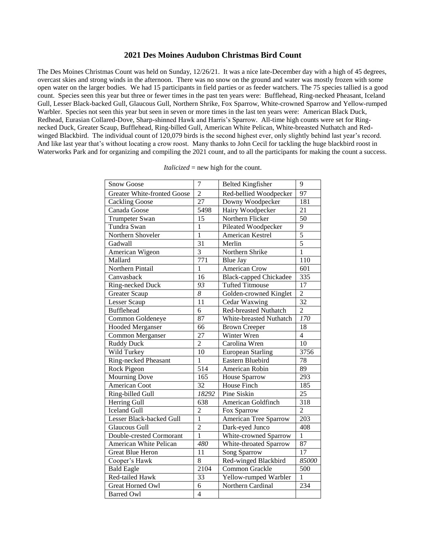#### **2021 Des Moines Audubon Christmas Bird Count**

The Des Moines Christmas Count was held on Sunday, 12/26/21. It was a nice late-December day with a high of 45 degrees, overcast skies and strong winds in the afternoon. There was no snow on the ground and water was mostly frozen with some open water on the larger bodies. We had 15 participants in field parties or as feeder watchers. The 75 species tallied is a good count. Species seen this year but three or fewer times in the past ten years were: Bufflehead, Ring-necked Pheasant, Iceland Gull, Lesser Black-backed Gull, Glaucous Gull, Northern Shrike, Fox Sparrow, White-crowned Sparrow and Yellow-rumped Warbler. Species not seen this year but seen in seven or more times in the last ten years were: American Black Duck, Redhead, Eurasian Collared-Dove, Sharp-shinned Hawk and Harris's Sparrow. All-time high counts were set for Ringnecked Duck, Greater Scaup, Bufflehead, Ring-billed Gull, American White Pelican, White-breasted Nuthatch and Redwinged Blackbird. The individual count of 120,079 birds is the second highest ever, only slightly behind last year's record. And like last year that's without locating a crow roost. Many thanks to John Cecil for tackling the huge blackbird roost in Waterworks Park and for organizing and compiling the 2021 count, and to all the participants for making the count a success.

| <b>Snow Goose</b>                  | $\overline{7}$      | <b>Belted Kingfisher</b>      | 9                |
|------------------------------------|---------------------|-------------------------------|------------------|
| <b>Greater White-fronted Goose</b> | $\overline{2}$      | Red-bellied Woodpecker        | 97               |
| <b>Cackling Goose</b>              | $\overline{27}$     | Downy Woodpecker              | 181              |
| Canada Goose                       | 5498                | Hairy Woodpecker              | $\overline{21}$  |
| Trumpeter Swan                     | 15                  | Northern Flicker              | 50               |
| Tundra Swan                        | $\mathbf{1}$        | Pileated Woodpecker           | $\frac{9}{5}$    |
| Northern Shoveler                  | $\overline{1}$      | American Kestrel              |                  |
| Gadwall                            | $\overline{31}$     | Merlin                        | 5                |
| American Wigeon                    | $\overline{3}$      | Northern Shrike               | $\mathbf{1}$     |
| Mallard                            | $\overline{771}$    | <b>Blue Jay</b>               | 110              |
| Northern Pintail                   | $\mathbf{1}$        | <b>American Crow</b>          | 601              |
| Canvasback                         | 16                  | <b>Black-capped Chickadee</b> | 335              |
| Ring-necked Duck                   | $\overline{93}$     | <b>Tufted Titmouse</b>        | 17               |
| <b>Greater Scaup</b>               | $\overline{\delta}$ | Golden-crowned Kinglet        | $\frac{2}{32}$   |
| Lesser Scaup                       | $\overline{11}$     | Cedar Waxwing                 |                  |
| <b>Bufflehead</b>                  | $\overline{6}$      | Red-breasted Nuthatch         | $\overline{2}$   |
| Common Goldeneye                   | 87                  | White-breasted Nuthatch       | 170              |
| <b>Hooded Merganser</b>            | 66                  | <b>Brown Creeper</b>          | $\overline{18}$  |
| Common Merganser                   | $\overline{27}$     | Winter Wren                   | $\overline{4}$   |
| Ruddy Duck                         | $\overline{2}$      | Carolina Wren                 | $\overline{10}$  |
| Wild Turkey                        | $\overline{10}$     | <b>European Starling</b>      | 3756             |
| Ring-necked Pheasant               | $\overline{1}$      | <b>Eastern Bluebird</b>       | $\overline{78}$  |
| Rock Pigeon                        | $\overline{514}$    | American Robin                | $\overline{89}$  |
| <b>Mourning Dove</b>               | 165                 | <b>House Sparrow</b>          | 293              |
| American Coot                      | $\overline{32}$     | House Finch                   | 185              |
| Ring-billed Gull                   | 18292               | Pine Siskin                   | $\overline{25}$  |
| Herring Gull                       | 638                 | American Goldfinch            | $\overline{318}$ |
| <b>Iceland Gull</b>                | $\overline{2}$      | Fox Sparrow                   | $\overline{2}$   |
| Lesser Black-backed Gull           | $\overline{1}$      | American Tree Sparrow         | 203              |
| <b>Glaucous Gull</b>               | $\overline{2}$      | Dark-eyed Junco               | 408              |
| Double-crested Cormorant           | 1                   | White-crowned Sparrow         | $\mathbf{1}$     |
| American White Pelican             | 480                 | White-throated Sparrow        | 87               |
| <b>Great Blue Heron</b>            | 11                  | Song Sparrow                  | $\overline{17}$  |
| Cooper's Hawk                      | $\overline{8}$      | Red-winged Blackbird          | 85000            |
| <b>Bald Eagle</b>                  | 2104                | Common Grackle                | 500              |
| Red-tailed Hawk                    | $\overline{33}$     | Yellow-rumped Warbler         | $\mathbf{1}$     |
| <b>Great Horned Owl</b>            | $\overline{6}$      | Northern Cardinal             | 234              |
| <b>Barred Owl</b>                  | $\overline{4}$      |                               |                  |

*Italicized* = new high for the count.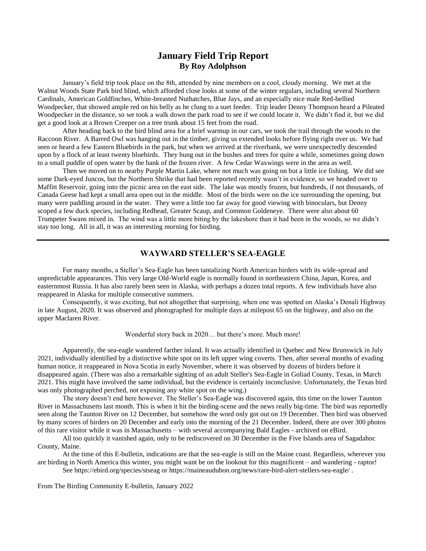### **January Field Trip Report By Roy Adolphson**

January's field trip took place on the 8th, attended by nine members on a cool, cloudy morning. We met at the Walnut Woods State Park bird blind, which afforded close looks at some of the winter regulars, including several Northern Cardinals, American Goldfinches, White-breasted Nuthatches, Blue Jays, and an especially nice male Red-bellied Woodpecker, that showed ample red on his belly as he clung to a suet feeder. Trip leader Denny Thompson heard a Pileated Woodpecker in the distance, so we took a walk down the park road to see if we could locate it. We didn't find it, but we did get a good look at a Brown Creeper on a tree trunk about 15 feet from the road.

After heading back to the bird blind area for a brief warmup in our cars, we took the trail through the woods to the Raccoon River. A Barred Owl was hanging out in the timber, giving us extended looks before flying right over us. We had seen or heard a few Eastern Bluebirds in the park, but when we arrived at the riverbank, we were unexpectedly descended upon by a flock of at least twenty bluebirds. They hung out in the bushes and trees for quite a while, sometimes going down to a small puddle of open water by the bank of the frozen river. A few Cedar Waxwings were in the area as well.

Then we moved on to nearby Purple Martin Lake, where not much was going on but a little ice fishing. We did see some Dark-eyed Juncos, but the Northern Shrike that had been reported recently wasn't in evidence, so we headed over to Maffitt Reservoir, going into the picnic area on the east side. The lake was mostly frozen, but hundreds, if not thousands, of Canada Geese had kept a small area open out in the middle. Most of the birds were on the ice surrounding the opening, but many were paddling around in the water. They were a little too far away for good viewing with binoculars, but Denny scoped a few duck species, including Redhead, Greater Scaup, and Common Goldeneye. There were also about 60 Trumpeter Swans mixed in. The wind was a little more biting by the lakeshore than it had been in the woods, so we didn't stay too long. All in all, it was an interesting morning for birding.

#### **WAYWARD STELLER'S SEA-EAGLE**

For many months, a Steller's Sea-Eagle has been tantalizing North American birders with its wide-spread and unpredictable appearances. This very large Old-World eagle is normally found in northeastern China, Japan, Korea, and easternmost Russia. It has also rarely been seen in Alaska, with perhaps a dozen total reports. A few individuals have also reappeared in Alaska for multiple consecutive summers.

Consequently, it was exciting, but not altogether that surprising, when one was spotted on Alaska's Denali Highway in late August, 2020. It was observed and photographed for multiple days at milepost 65 on the highway, and also on the upper Maclaren River.

#### Wonderful story back in 2020… but there's more. Much more!

Apparently, the sea-eagle wandered farther inland. It was actually identified in Quebec and New Brunswick in July 2021, individually identified by a distinctive white spot on its left upper wing coverts. Then, after several months of evading human notice, it reappeared in Nova Scotia in early November, where it was observed by dozens of birders before it disappeared again. (There was also a remarkable sighting of an adult Steller's Sea-Eagle in Goliad County, Texas, in March 2021. This might have involved the same individual, but the evidence is certainly inconclusive. Unfortunately, the Texas bird was only photographed perched, not exposing any white spot on the wing.)

The story doesn't end here however. The Steller's Sea-Eagle was discovered again, this time on the lower Taunton River in Massachusetts last month. This is when it hit the birding-scene and the news really big-time. The bird was reportedly seen along the Taunton River on 12 December, but somehow the word only got out on 19 December. Then bird was observed by many scores of birders on 20 December and early into the morning of the 21 December. Indeed, there are over 300 photos of this rare visitor while it was in Massachusetts – with several accompanying Bald Eagles - archived on eBird.

All too quickly it vanished again, only to be rediscovered on 30 December in the Five Islands area of Sagadahoc County, Maine.

At the time of this E-bulletin, indications are that the sea-eagle is still on the Maine coast. Regardless, wherever you are birding in North America this winter, you might want be on the lookout for this magnificent – and wandering - raptor!

See https://ebird.org/species/stseag or<https://maineaudubon.org/news/rare-bird-alert-stellers-sea-eagle/> .

From The Birding Community E-bulletin, January 2022